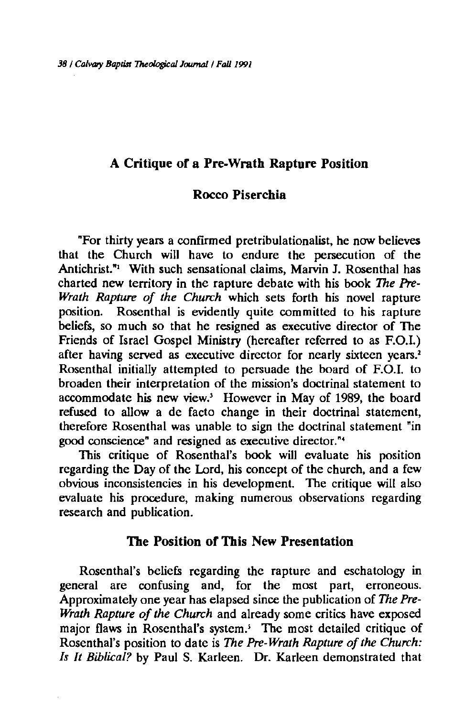# A Critique of a Pre-Wrath Rapture Position

# Rocco Piserchia

"For thirty years a confirmed pretribulationalist, he now believes that the Church will have to endure the persecution of the Antichrist."<sup>1</sup> With such sensational claims, Marvin J. Rosenthal has charted new territory in the rapture debate with his book *The Pre-Wrath Rapture of the Church* which sets forth his novel rapture position. Rosenthal is evidently quite committed to his rapture beliefs, so much so that he resigned as executive director of The Friends of Israel Gospel Ministry (hereafter referred to as F.O.I.) after having served as executive director for nearly sixteen years.<sup>2</sup> Rosenthal initially attempted to persuade the board of F.O.I. to broaden their interpretation of the mission's doctrinal statement to accommodate his new view.' However in May of 1989, the board refused to allow a de facto change in their doctrinal statement, therefore Rosenthal was unable to sign the doctrinal statement "in good conscience" and resigned as executive director. "•

This critique of Rosenthal's book will evaluate his position regarding the Day of the Lord, his concept of the church, and a few obvious inconsistencies in his development. The critique will also evaluate his procedure, making numerous observations regarding research and publication.

## The Position of This New Presentation

Rosenthal's beliefs regarding the rapture and eschatology in general are confusing and, for the most part, erroneous. Approximately one year has elapsed since the publication of *The Pre-Wrath Rapture of the Church* and already some critics have exposed major flaws in Rosenthal's system.' The most detailed critique of Rosenthal's position to date is *The Pre· Wrath Rapture of the Church: Is It Biblical?* by Paul S. Karleen. Dr. Karleen demonstrated that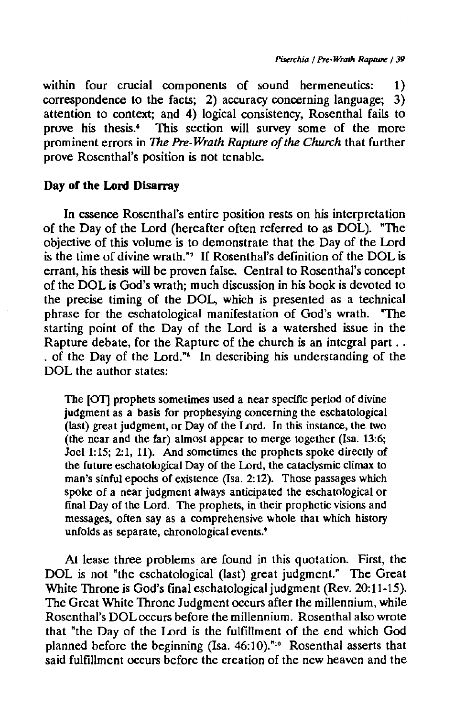within four crucial components of sound hermeneutics: 1)<br>correspondence to the facts: 2) accuracy concerning language: 3) correspondence to the facts; 2) accuracy concerning language; attention to context; and 4) logical consistency, Rosenthal fails to prove his thesis.<sup>4</sup> This section will survey some of the more This section will survey some of the more prominent errors in *The* Pre-*Wrath Rapture of the Church* that further prove Rosenthal's position is not tenable.

### **Day of the Lord Disarray**

In essence Rosenthal's entire position rests on his interpretation of the Day of the Lord (hereafter often referred to as DOL). "The objective of this volume is to demonstrate that the Day of the Lord is the time of divine wrath."' If Rosenthal's definition of the DOL is errant, his thesis will be proven false. Central to Rosenthal's concept of the DOL is God's wrath; much discussion in his book is devoted to the precise timing of the DOL, which is presented as a technical phrase for the eschatological manifestation of God's wrath. "The starting point of the Day of the Lord is a watershed issue in the Rapture debate, for the Rapture of the church is an integral part ... . of the Day of the Lord."' In describing his understanding of the DOL the author states:

The (OT) prophets sometimes used a near specific period of divine judgment as a basis for prophesying concerning the eschatological (last) great judgment, or Day of the Lord. In this instance, the two (the near and the far) almost appear to merge together (!sa. 13:6; Joel 1:15; 2:1, 11). And sometimes the prophets spoke directly of the future eschatological Day of the Lord, the cataclysmic climax to man's sinful epochs of existence (Isa. 2:12). Those passages which spoke of a near judgment always anticipated the eschatological or final Day of the Lord. The prophets, in their prophetic visions and messages, often say as a comprehensive whole that which history unfolds as separate, chronological events.'

At lease three problems are found in this quotation. First, the DOL is not "the eschatological (last) great judgment." The Great White Throne is God's final eschatological judgment (Rev. 20:11-15). The Great White Throne Judgment occurs after the millennium, while Rosenthal's DOL occurs before the millennium. Rosenthal also wrote that "the Day of the Lord is the fulfillment of the end which God planned before the beginning (Isa. 46:10)."<sup>10</sup> Rosenthal asserts that said fulfillment occurs before the creation of the new heaven and the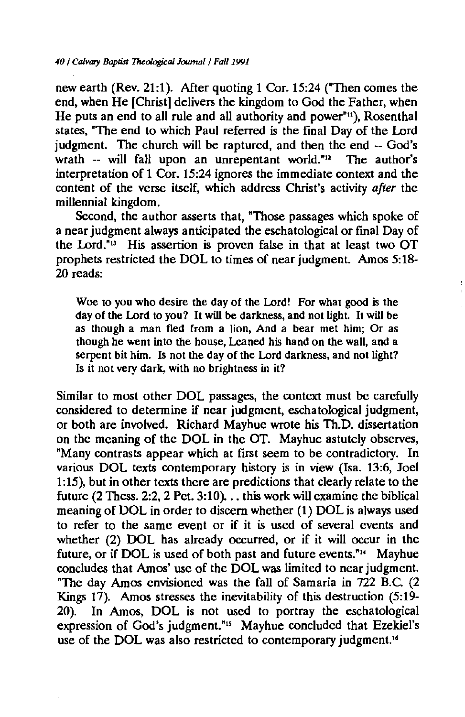new earth (Rev. 21:1). After quoting 1 Cor. 15:24 ("Then comes the end, when He [Christ] delivers the kingdom to God the Father, when He puts an end to all rule and all authority and power" $n$ ), Rosenthal states, "The end to which Paul referred is the final Day of the Lord judgment. The church will be raptured, and then the end -- God's wrath -- will fall upon an unrepentant world."<sup>12</sup> The author's interpretation of 1 Cor. 15:24 ignores the immediate context and the content of the verse itself, which address Christ's activity *after* the millennial kingdom.

Second, the author asserts that, "Those passages which spoke of a near judgment always anticipated the eschatological or final Day of the Lord."" His assertion is proven false in that at least two OT prophets restricted the DOL to times of near judgment. Amos 5:18- 20 reads:

Woe to you who desire the day of the Lord! For what good is the day of the Lord to you? It will be darkness, and not light. It will be as though a man fled from a lion, And a bear met him; Or as though he went into the house, Leaned his hand on the wall, and a serpent bit him. Is not the day of the Lord darkness, and not light? Is it not very dark, with no brightness in it?

Similar to most other DOL passages, the context must be carefully considered to determine if near judgment, eschatological judgment, or both are involved. Richard Mayhue wrote his Th.D. dissertation on the meaning of the DOL in the OT. Mayhue astutely observes, "Many contrasts appear which at first seem to be contradictory. In various DOL texts contemporary history is in view (Isa. 13:6, Joel 1:15), but in other texts there are predictions that clearly relate to the future (2 Thess. 2:2, 2 Pet. 3:10).  $\ldots$  this work will examine the biblical meaning of DOL in order to discern whether (1) DOL is always used to refer to the same event or if it *is* used of several events and whether (2) DOL has already occurred, or if it will occur in the future, or if DOL *is* used of both past and future events."" Mayhue concludes that Amos' use of the DOL was limited to near judgment. "The day Amos envisioned was the fall of Samaria in 722 B.C. (2 Kings  $17$ ). Amos stresses the inevitability of this destruction  $(5:19-$ 20). In Amos, DOL is not used to portray the eschatological expression of God's judgment."" Mayhue concluded that Ezekiel's use of the DOL was also restricted to contemporary judgment.<sup>14</sup>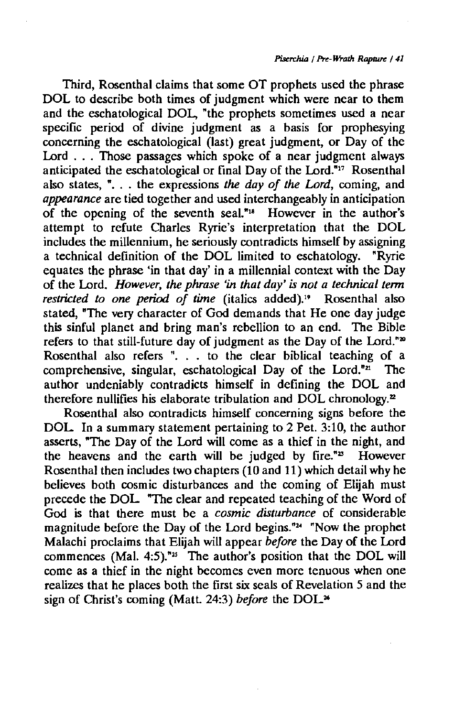Third, Rosenthal claims that some OT prophets used the phrase DOL to describe both times of judgment which were near to them and the eschatological DOL, "the prophets sometimes used a near specific period of divine judgment as a basis for prophesying concerning the eschatological (last) great judgment, or Day of the Lord . . . Those passages which spoke of a near judgment always anticipated the eschatological or final Day of the Lord.<sup>"17</sup> Rosenthal also states, ". . . the expressions *the day of the Lord*, coming, and *appearance* are tied together and used interchangeably in anticipation of the opening of the seventh seaL"" However in the author's attempt to refute Charles Ryrie's interpretation that the DOL includes the millennium, he seriously contradicts himself by assigning a technical definition of the DOL limited to eschatology. "Ryrie equates the phrase 'in that day' in a millennial context with the Day of the Lord. *However, the phrase* 'in *that day' is not a technical term restricted to one period of time* (italics added)." Rosenthal also stated, "The very character of God demands that He one day judge this sinful planet and bring man's rebellion to an end. The Bible refers to that still-future day of judgment as the Day of the Lord."<sup>20</sup> Rosenthal also refers ". . to the clear biblical teaching of a comprehensive, singular, eschatological Day of the Lord."<sup>21</sup> The comprehensive, singular, eschatological Day of the Lord." $n$ author undeniably contradicts himself in defining the DOL and therefore nullifies his elaborate tribulation and DOL chronology.<sup>2</sup>

Rosenthal also contradicts himself concerning signs before the DOL In a summary statement pertaining to 2 Pet. 3:10, the author asserts, "The Day of the Lord will come as a thief in the night, and the heavens and the earth will be judged by fire."<sup>23</sup> However the heavens and the earth will be judged by fire." $\mathbb{Z}^n$ Rosenthal then includes two chapters (10 and 11) which detail why he believes both cosmic disturbances and the coming of Elijah must precede the DOL "The clear and repeated teaching of the Word of God is that there must be a *cosmic disturbance* of considerable magnitude before the Day of the Lord begins." $4$  "Now the prophet Malachi proclaims that Elijah will appear *before* the Day of the Lord commences (Mal. 4:5)."" The author's position that the DOL will come as a thief in the night becomes even more tenuous when one realizes that he places both the first six seals of Revelation 5 and the sign of Christ's coming (Matt. 24:3) *before* the DOL<sup>26</sup>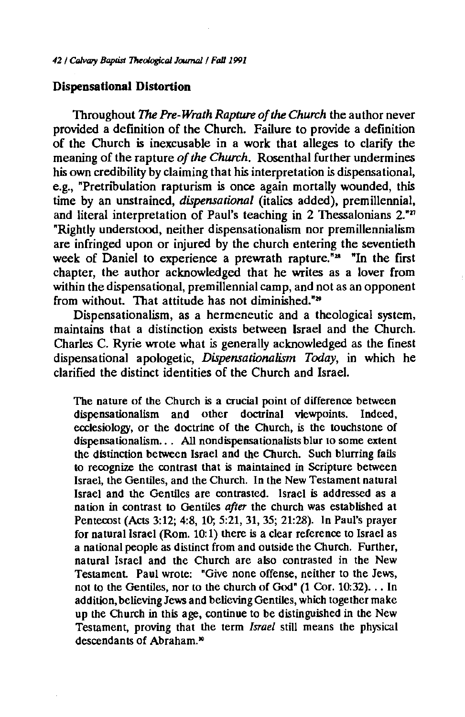#### **Dispensational Distortion**

Throughout *The Pre-Wrath Rapture of the Church* the author never provided a definition of the Church. Failure to provide a definition of the Church is inexcusable in a work that alleges to clarify the meaning of the rapture *of the Church.* Rosenthal further undermines his own credibility by claiming that his interpretation is dispensational, e.g., "Pretribulation rapturism is once again mortally wounded, this time by an unstrained, *dispensational* (italics added), premillennial, and literal interpretation of Paul's teaching in 2 Thessalonians  $2^{1/2}$ "Rightly understood, neither dispensationalism nor premillennialism are infringed upon or injured by the church entering the seventieth week of Daniel to experience a prewrath rapture.<sup>"28</sup> "In the first chapter, the author acknowledged that he writes as a lover from within the dispensational, premillennial camp, and not as an opponent from without. That attitude has not diminished."<sup>29</sup>

Dispensationalism, as a hermeneutic and a theological system, maintains that a distinction exists between Israel and the Church. Charles C. Ryrie wrote what is generally acknowledged as the finest dispensational apologetic, *Dispensationalism Today,* in which he clarified the distinct identities of the Church and Israel.

The nature of the Church is a crucial point of difference between dispensationalism and other doctrinal viewpoints. Indeed, ecclesiology, or the doctrine of the Church, is the touchstone of dispensationalism. . . All nondispensationalists blur to some extent the distinction between Israel and the Church. Such blurring fails to recognize the contrast that is maintained in Scripture between Israel, the Gentiles, and the Church. In the New Testament natural Israel and the Gentiles are contrasted. Israel is addressed as a nation in contrast to Gentiles *after* the church was established at Pentecost (Acts 3:12; 4:8, 10; 5:21, 31, 35; 21:28). In Paul's prayer for natural Israel (Rom. 10:1) there is a clear reference to Israel as a national people as distinct from and outside the Church. Further, natural Israel and the Church are also contrasted in the New Testament Paul wrote: "Give none offense, neither to the Jews, not to the Gentiles, nor to the church of God" (1 Cor. 10:32) ... In addition, believing Jews and believing Gentiles, which together make up the Church in this age, continue to be distinguished in the New Testament, proving that the term *Israel* still means the physical descendants of Abraham."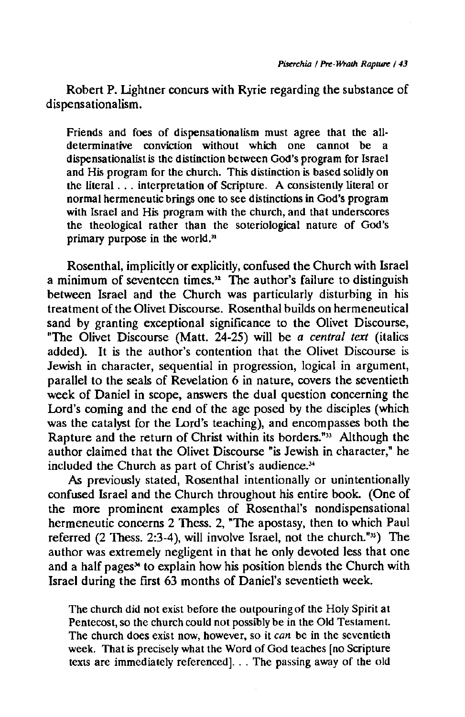Robert P. Lightner concurs with Ryrie regarding the substance of dispensationalism.

Friends and foes of dispensationalism must agree that the all· determinative conviction without which one cannot be a dispensationalist is the distinction between God's program for Israel and His program for the church. This distinction is based solidly on the literal ... interpretation of Scripture. A consistently literal or normal hermeneutic brings one to see distinctions in God's program with Israel and His program with the church, and that underscores the theological rather than the soteriological nature of God's primary purpose in the world. $<sup>n</sup>$ </sup>

Rosenthal, implicitly or explicitly, confused the Church with Israel a minimum of seventeen times." The author's failure to distinguish between Israel and the Church was particularly disturbing in his treatment of the Olivet Discourse. Rosenthal builds on hermeneutical sand by granting exceptional significance to the Olivet Discourse, "The Olivet Discourse (Matt. 24-25) will be *a central text* (italics added). It is the author's contention that the Olivet Discourse is Jewish in character, sequential in progression, logical in argument, parallel to the seals of Revelation 6 in nature, covers the seventieth week of Daniel in scope, answers the dual question concerning the Lord's coming and the end of the age posed by the disciples (which was the catalyst for the Lord's teaching), and encompasses both the Rapture and the return of Christ within its borders."<sup>33</sup> Although the author claimed that the Olivet Discourse "is Jewish in character," he included the Church as part of Christ's audience.<sup>34</sup>

As previously stated, Rosenthal intentionally or unintentionally confused Israel and the Church throughout his entire book. (One of the more prominent examples of Rosenthal's nondispensational hermeneutic concerns 2 Thess. 2, "The apostasy, then to which Paul referred (2 Thess. 2:3-4), will involve Israel, not the church."<sup>35</sup>) The author was extremely negligent in that he only devoted less that one and a half pages<sup>14</sup> to explain how his position blends the Church with Israel during the first 63 months of Daniel's seventieth week.

The church did not exist before the outpouring of the Holy Spirit at Pentecost, so the church could not possibly be in the Old Testament. The church does exist now, however, so it *can* be in the seventieth week. That is precisely what the Word of God teaches [no Scripture texts are immediately referenced] ... The passing away of the old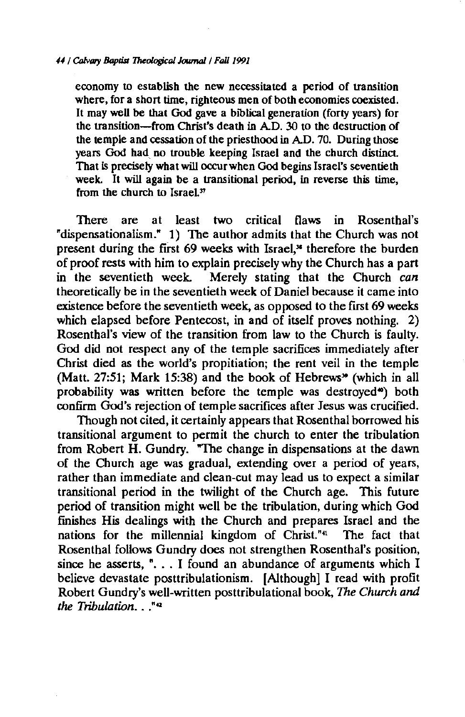#### *44 I* Colvory *lklpd.rt 1Molof9col Jouma/1 Fa/11991*

economy to establish the new necessitated a period of transition where, for a short time, righteous men of both economies coexisted. It may well be that God gave a biblical generation (forty years) for the transition-from Christ's death in  $AD.$  30 to the destruction of the temple and cessation of the priesthood in AD. 70. During those years God had, no trouble keeping Israel and the church distinct That is precisely what will occur when God begins Israel's seventieth week. It will again be a transitional period, in reverse this time, from the church to Israel.<sup>37</sup>

There are at least two critical flaws in Rosenthal's "dispensationalism." 1) The author admits that the Church was not present during the first 69 weeks with Israel,<sup>36</sup> therefore the burden of proof rests with him to explain precisely why the Church has a part in the seventieth week. Merely stating that the Church *can*  theoretically be in the seventieth week of Daniel because it came into existence before the seventieth week, as opposed to the first 69 weeks which elapsed before Pentecost, in and of itself proves nothing. 2) Rosenthal's view of the transition from law to the Church is faulty. God did not respect any of the temple sacrifices immediately after Christ died as the world's propitiation; the rent veil in the temple (Matt. 27:51; Mark 15:38) and the book of Hebrews" (which in all probability was written before the temple was destroyed<sup>\*</sup>) both confirm God's rejection of temple sacrifices after Jesus was crucified.

Though not cited, it certainly appears that Rosenthal borrowed his transitional argument to permit the church to enter the tribulation from Robert H. Gundry. "The change in dispensations at the dawn of the Church age was gradual, extending over a period of years, rather than immediate and clean-cut may lead us to expect a similar transitional period in the twilight of the Church age. This future period of transition might well be the tribulation, during which God finishes His dealings with the Church and prepares Israel and the nations for the millennial kingdom of Christ."" The fact that Rosenthal follows Gundry does not strengthen Rosenthal's position, since he asserts, " $\ldots$  I found an abundance of arguments which I believe devastate posttribulationism. [Although] I read with profit Robert Gundry's well-written posttribulational book, *The Church and the Tribulation .* . .""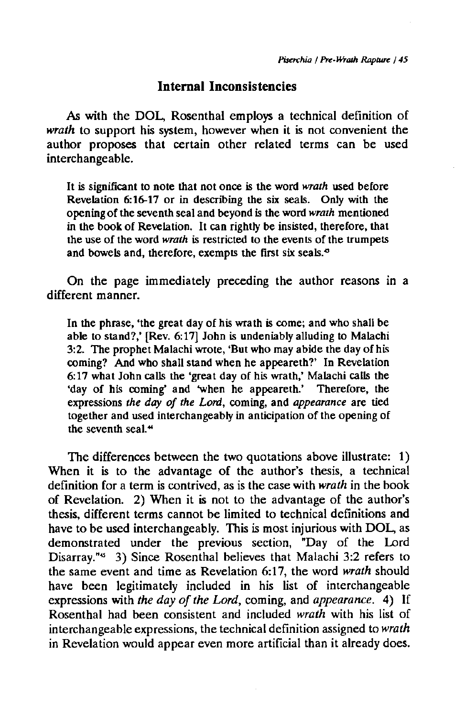# **Internal Inconsistencies**

*As* with the DOL, Rosenthal employs a technical definition of *wrath* to support his system, however when it is not convenient the author proposes that certain other related terms can be used interchangeable.

It is significant to note that not once is the word *wrath* used before Revelation 6:16-17 or in describing the six seals. Only with the opening of the seventh seal and beyond is the word *wrath* mentioned in the book of Revelation. It can rightly be insisted, therefore, that the use of the word *wrath* is restricted to the events of the trumpets and bowels and, therefore, exempts the first six seals.<sup>6</sup>

On the page immediately preceding the author reasons in a different manner.

In the phrase, 'the great day of his wrath is come; and who shall be able to stand?,' [Rev. 6:17) John is undeniably alluding to Malachi 3:2. The prophet Malachi wrote, 'But who may abide the day of his coming? And who shall stand when he appeareth?' In Revelation 6:17 what John calls the 'great day of his wrath,' Malachi calls the 'day of his coming' and 'when he appeareth.' Therefore, the expressions *the day of the Lord,* coming, and *appearance* are tied together and used interchangeably in anticipation of the opening of the seventh seal.<sup>44</sup>

The differences between the two quotations above illustrate: 1) When it is to the advantage of the author's thesis, a technical definition for a term is contrived, as is the case with *wrath* in the book of Revelation. 2) When it is not to the advantage of the author's thesis, different terms cannot be limited to technical definitions and have to be used interchangeably. This is most injurious with DOL, as demonstrated under the previous section, "Day of the Lord Disarray."" 3) Since Rosenthal believes that Malachi 3:2 refers to the same event and time as Revelation 6:17, the word *wrath* should have been legitimately included in his list of interchangeable expressions with *the day of the Lord,* coming, and *appearance.* 4) If Rosenthal had been consistent and included *wrath* with his list of interchangeable expressions, the technical definition assigned to *wrath*  in Revelation would appear even more artificial than it already does.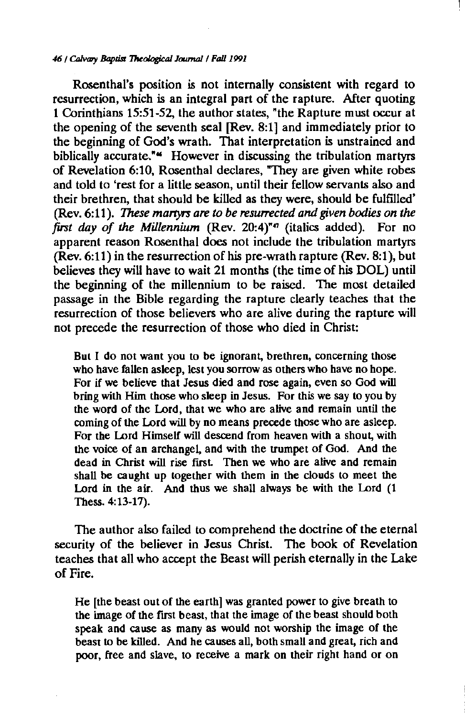#### *46/* CtJ/vory *Baptist 'I'Mological* Joumal/ *Fa/11991*

Rosenthal's position is not internally consistent with regard to resurrection, which is an integral part of the rapture. After quoting 1 Corinthians 15:51-52, the author states, "the Rapture must occur at the opening of the seventh seal [Rev. 8:1] and immediately prior to the beginning of God's wrath. That interpretation is unstrained and biblically accurate."<sup>\*</sup> However in discussing the tribulation martyrs of Revelation 6:10, Rosenthal declares, "They are given white robes and told to 'rest for a little season, until their fellow servants also and their brethren, that should be killed as they were, should be fulfilled' (Rev. 6:11 ). *These martyrs are to be resurrected and given bodies on the first day of the Millennium* (Rev. 20:4)"" (italics added). For no apparent reason Rosenthal does not include the tribulation martyrs  $($ Rev. 6:11) in the resurrection of his pre-wrath rapture  $($ Rev. 8:1), but believes they will have to wait 21 months (the time of his DOL) until the beginning of the millennium to be raised. The most detailed passage in the Bible regarding the rapture clearly teaches that the resurrection of those believers who are alive during the rapture will not precede the resurrection of those who died in Christ:

But I do not want you to be ignorant, brethren, concerning those who have fallen asleep, lest you sorrow as others who have no hope. For if we believe that Jesus died and rose again, even so God will bring with Him those who sleep in Jesus. For this we say to you by the word of the Lord, that we who are alive and remain until the coming of the Lord will by no means precede those who are asleep. For the Lord Himself will descend from heaven with a shout, with the voice of an archangel, and with the trumpet of God. And the dead in Christ will rise first Then we who are alive and remain shall be caught up together with them in the clouds to meet the Lord in the air. And thus we shall always be with the Lord (1 Thess. 4: 13-17).

The author also failed to comprehend the doctrine of the eternal security of the believer in Jesus Christ. The book of Revelation teaches that all who accept the Beast will perish eternally in the Lake of Fire.

He [the beast out of the earth) was granted power to give breath to the image of the frrst beast, that the image of the beast should both speak and cause as many as would not worship the image of the beast to be killed. And he causes all, both small and great, rich and poor, free and slave, to receive a mark on their right hand or on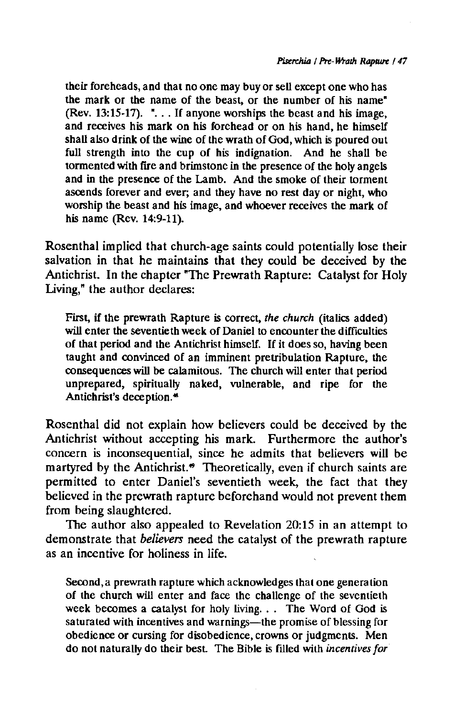their foreheads, and that no one may buy or sell except one who has the mark or the name of the beast, or the number of his name" (Rev. 13:15-17).  $\cdot$ ... If anyone worships the beast and his image, and receives his mark on his forehead or on his hand, he himself shall also drink of the wine of the wrath of God, which is poured out full strength into the cup of his indignation. And he shall be tormented with fire and brimstone in the presence of the holy angels and in the presence of the Lamb. And the smoke of their torment ascends forever and ever; and they have no rest day or night, who worship the beast and his image, and whoever receives the mark of his name (Rev. 14:9-11).

Rosenthal implied that church-age saints could potentially lose their salvation in that he maintains that they could be deceived by the Antichrist. In the chapter "The Prewrath Rapture: Catalyst for Holy Living," the author declares:

First, if the prewrath Rapture is correct, *the church* (italics added) will enter the seventieth week of Daniel to encounter the difficulties of that period and the Antichrist himself. If it does so, having been taught and convinced of an imminent pretribulation Rapture, the consequences will be calamitous. The church will enter that period unprepared, spiritually naked, vulnerable, and ripe for the Antichrist's deception.<sup>46</sup>

Rosenthal did not explain how believers could be deceived by the Antichrist without accepting his mark. Furthermore the author's concern is inconsequential, since he admits that believers will be martyred by the Antichrist.<sup>\*</sup> Theoretically, even if church saints are permitted to enter Daniel's seventieth week, the fact that they believed in the prewrath rapture beforehand would not prevent them from being slaughtered.

The author also appealed to Revelation 20:15 in an attempt to demonstrate that *believers* need the catalyst of the prewrath rapture as an incentive for holiness in life.

Second, a prewrath rapture which acknowledges that one generation of the church will enter and face the challenge of the seventieth week becomes a catalyst for holy living. . . The Word of God is saturated with incentives and warnings-the promise of blessing for obedience or cursing for disobedience, crowns or judgments. Men do not naturally do their best The Bible is ftlled with *incentives for*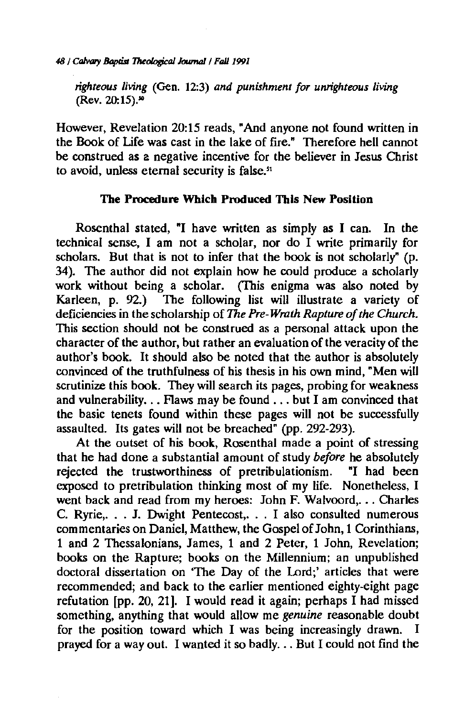48 / Calvary Baptist *Theological Journal* / Fall 1991

*righteous living* (Gen. 12:3) *and punishment for unrighteous living*  (Rev. 20:15)."

However, Revelation 20:15 reads, "And anyone not found written in the Book of Life was cast in the lake of fire." Therefore hell cannot be construed as a negative incentive for the believer in Jesus Christ to avoid, unless eternal security is false."

## The Procedure Which Produced This New Position

Rosenthal stated, "I have written as simply as I can. In the technical sense, I am not a scholar, nor do I write primarily for scholars. But that is not to infer that the book is not scholarly" (p. 34). The author did not explain how he could produce a scholarly work without being a scholar. (This enigma was also noted by Karleen, p. 92.) The following list will illustrate a variety of deficiencies in the scholarship of The *Pre-Wrath Rapture of the Church.*  This section should not be construed as a personal attack upon the character of the author, but rather an evaluation of the veracity of the author's book. It should also be noted that the author is absolutely convinced of the truthfulness of his thesis in his own mind, "Men will scrutinize this book. They will search its pages, probing for weakness and vulnerability... Flaws may be found ... but I am convinced that the basic tenets found within these pages will not be successfully assaulted. Its gates will not be breached" (pp. 292-293).

At the outset of his book, Rosenthal made a point of stressing that he had done a substantial amount of study *before* he absolutely rejected the trustworthiness of pretribulationism. "I had been exposed to pretribulation thinking most of my life. Nonetheless, I went back and read from my heroes: John F. Walvoord, ... Charles C. Ryrie, ... J. Dwight Pentecost, ... I also consulted numerous commentaries on Daniel, Matthew, the Gospel of John, 1 Corinthians, 1 and 2 Thessalonians, James, 1 and 2 Peter, 1 John, Revelation; books on the Rapture; books on the Millennium; an unpublished doctoral dissertation on 'The Day of the Lord;' articles that were recommended; and back to the earlier mentioned eighty-eight page refutation (pp. 20, 21]. I would read it again; perhaps I had missed something, anything that would allow me *genuine* reasonable doubt for the position toward which I was being increasingly drawn. I prayed for a way out. I wanted it so badly ... But I could not find the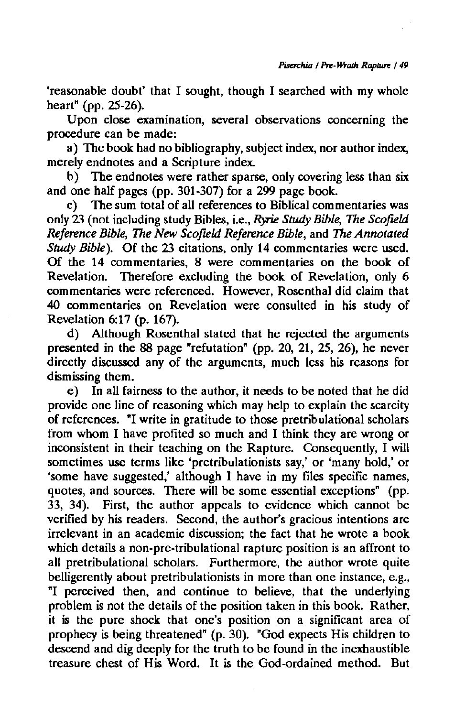'reasonable doubt' that I sought, though I searched with my whole heart" (pp. 25-26).

Upon close examination, several observations concerning the procedure can be made:

a) The book had no bibliography, subject index, nor author index, merely endnotes and a Scripture index.

b) The endnotes were rather sparse, only covering less than six and one half pages (pp. 301-307) for a 299 page book.<br>c) The sum total of all references to Biblical comm

The sum total of all references to Biblical commentaries was only 23 (not including study Bibles, i.e., *Ryrie Study Bible, The Scofield Reference Bible,* The *New Scofield Reference Bible,* and *The Annotated Study Bible).* Of the 23 citations, only 14 commentaries were used. Of the 14 commentaries, 8 were commentaries on the book of Revelation. Therefore excluding the book of Revelation, only 6 commentaries were referenced. However, Rosenthal did claim that 40 commentaries on Revelation were consulted in his study of Revelation 6:17 (p. 167).

d) Although Rosenthal stated that he rejected the arguments presented in the 88 page "refutation" (pp. 20, 21, 25, 26), he never directly discussed any of the arguments, much less his reasons for dismissing them.

e) In all fairness to the author, it needs to be noted that he did provide one line of reasoning which may help to explain the scarcity of references. "I write in gratitude to those pretribulational scholars from whom I have profited so much and I think they are wrong or inconsistent in their teaching on the Rapture. Consequently, I will sometimes use terms like 'pretribulationists say,' or 'many hold,' or 'some have suggested,' although I have in my files specific names, quotes, and sources. There will be some essential exceptions" (pp. 33, 34). First, the author appeals to evidence which cannot be verified by his readers. Second, the author's gracious intentions are irrelevant in an academic discussion; the fact that he wrote a book which details a non-pre-tribulational rapture position is an affront to all pretribulational scholars. Furthermore, the author wrote quite belligerently about pretribulationists in more than one instance, e.g., "I perceived then, and continue to believe, that the underlying problem is not the details of the position taken in this book. Rather, it is the pure shock that one's position on a significant area of prophecy is being threatened" (p. 30). "God expects His children to descend and dig deeply for the truth to be found in the inexhaustible treasure chest of His Word. It is the God-ordained method. But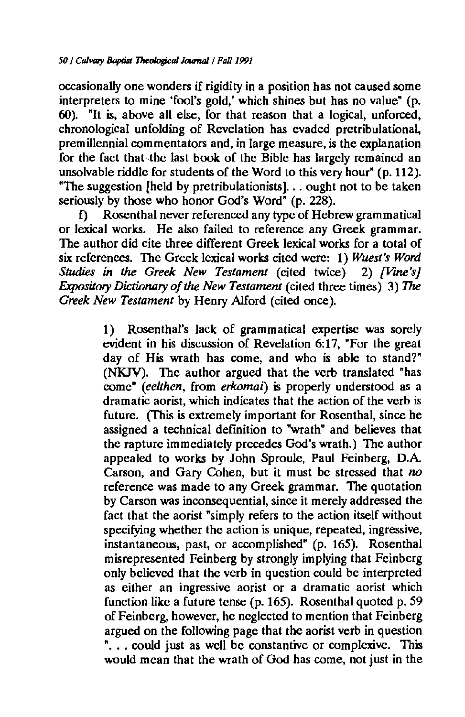occasionally one wonders if rigidity in a position has not caused some interpreters to mine 'fool's gold,' which shines but has no value" (p. 60). "It *is,* above all else, for that reason that a logical, unforced, chronological unfolding of Revelation has evaded pretribulational, premillennial commentators and, in large measure, *is* the explanation for the fact that the last book of the Bible has largely remained an unsolvable riddle for students of the Word to this very hour" (p. 112). "The suggestion [held by pretribulationists]. . . ought not to be taken seriously by those who honor God's Word" (p. 228).

f) Rosenthal never referenced any type of Hebrew grammatical or lexical works. He also failed to reference any Greek grammar. The author did cite three different Greek lexical works for a total of six references. The Greek lexical works cited were: 1) *Wuest's Word Studies in the Greek New Testament (cited twice) 2) [Vine's] Expository Dictionary of the New Testament* (cited three times) 3) *The Greek New Testament* by Henry Alford (cited once).

> 1) Rosenthal's lack of grammatical expertise was sorely evident in his discussion of Revelation 6:17, "For the great day of His wrath has come, and who is able to stand?" (NKJV). The author argued that the verb translated "has come" *(eelthen,* from *erkomai)* is properly understood as a dramatic aorist, which indicates that the action of the verb is future. (This *is* extremely important for Rosenthal, since he assigned a technical definition to "wrath" and believes that the rapture immediately precedes God's wrath.) The author appealed to works by John Sproule, Paul Feinberg, D.A Carson, and Gary Cohen, but it must be stressed that *no*  reference was made to any Greek grammar. The quotation by Carson was inconsequential, since it merely addressed the fact that the aorist "simply refers to the action itself without specifying whether the action is unique, repeated, ingressive, instantaneous, past, or accomplished" (p. 165). Rosenthal misrepresented Feinberg by strongly implying that Feinberg only believed that the verb in question could be interpreted as either an ingressive aorist or a dramatic aorist which function like a future tense (p. 165). Rosenthal quoted p. 59 of Feinberg, however, he neglected to mention that Feinberg argued on the following page that the aorist verb in question "... could just as well be constantive or complexive. This would mean that the wrath of God has come, not just in the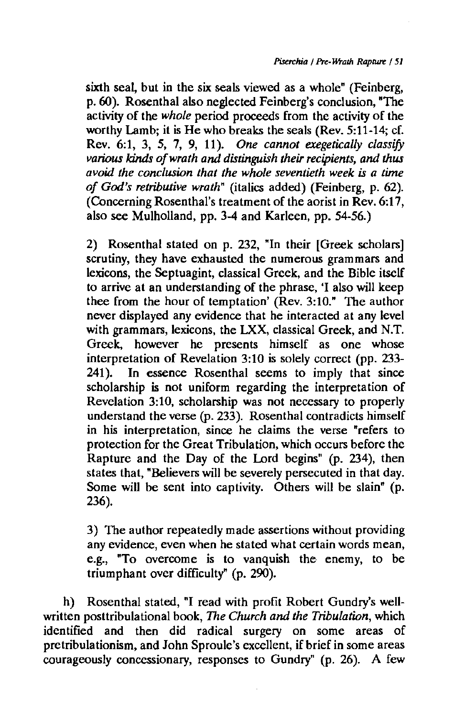sixth seal, but in the six seals viewed as a whole" (Feinberg, p. 60). Rosenthal also neglected Feinberg's conclusion, "The activity of the *whole* period proceeds from the activity of the worthy Lamb; it is He who breaks the seals (Rev. 5:11-14; cf. Rev. 6:1, 3, 5, 7, 9, 11 )- *One cannot exegetically classify various* kinds *of wrath and distinguish their recipients, and thus avoid the conclusion that the whole seventieth week is a time of God's retributive wrath"* (italics added) (Feinberg, p. 62). (Concerning Rosenthal's treatment of the aorist in Rev. 6:17, also see Mulholland, pp. 3-4 and Karleen, pp. 54-56.)

2) Rosenthal stated on p. 232, "In their [Greek scholars] scrutiny, they have exhausted the numerous grammars and lexicons, the Septuagint, classical Greek, and the Bible itself to arrive at an understanding of the phrase, 'I also will keep thee from the hour of temptation' (Rev. 3:10." The author never displayed any evidence that he interacted at any level with grammars, lexicons, the LXX, classical Greek, and N.T. Greek, however he presents himself as one whose interpretation of Revelation 3:10 is solely correct (pp. 233- $241$ ). In essence Rosenthal seems to imply that since scholarship is not uniform regarding the interpretation of Revelation 3:10, scholarship was not necessary to properly understand the verse (p. 233). Rosenthal contradicts himself in his interpretation, since he claims the verse "refers to protection for the Great Tribulation, which occurs before the Rapture and the Day of the Lord begins" (p. 234), then states that, "Believers will be severely persecuted in that day. Some will be sent into captivity. Others will be slain" (p. 236).

3) The author repeatedly made assertions without providing any evidence, even when he stated what certain words mean, e.g., "To overcome is to vanquish the enemy, to be triumphant over difficulty" (p. 290).

h) Rosenthal stated, "I read with profit Robert Gundry's wellwritten posttribulational book, The *Church and the Tribulation,* which identified and then did radical surgery on some areas of pretribulationism, and John Sproule's excellent, if brief in some areas courageously concessionary, responses to Gundry" (p. 26). A few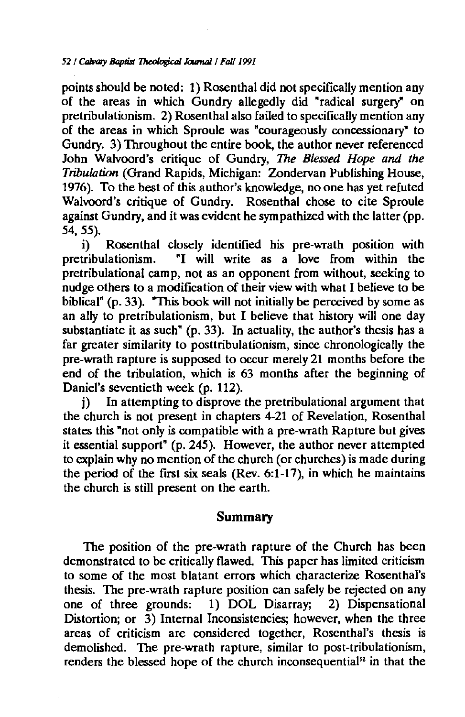points should be noted: 1) Rosenthal did not specifically mention any of the areas in which Gundry allegedly did "radical surgery" on pretribulationism. 2) Rosenthal also failed to specifically mention any of the areas in which Sproule was "courageously concessionary" to Gundry. 3) Throughout the entire book, the author never referenced John Walvoord's critique of Gundry, *The Blessed Hope and the Tribulation* (Grand Rapids, Michigan: Zondervan Publishing House, 1976). To the best of this author's knowledge, no one has yet refuted Walvoord's critique of Gundry. Rosenthal chose to cite Sproule against Gundry, and it was evident he sympathized with the latter (pp. 54, 55).

i) Rosenthal closely identified his pre-wrath position with pretribulationism. "I will write as a love from within the pretribulational camp, not as an opponent from without, seeking to nudge others to a modification of their view with what I believe to be biblical" (p. 33). "This book will not initially be perceived by some as an ally to pretribulationism, but I believe that history will one day substantiate it as such" (p. 33). In actuality, the author's thesis has a far greater similarity to posttribulationism, since chronologically the pre-wrath rapture is supposed to occur merely 21 months before the end of the tribulation, which is 63 months after the beginning of Daniel's seventieth week (p. 112).

j) In attempting to disprove the pretribulational argument that the church is not present in chapters 4-21 of Revelation, Rosenthal states this "not only is compatible with a pre-wrath Rapture but gives it essential support" (p. 245). However, the author never attempted to explain why no mention of the church (or churches) is made during the period of the first six seals (Rev. 6:1-17), in which he maintains the church is still present on the earth.

# **Summary**

The position of the pre-wrath rapture of the Church has been demonstrated to be critically flawed. This paper has limited criticism to some of the most blatant errors which characterize Rosenthal's thesis. The pre-wrath rapture position can safely be rejected on any one of three grounds: 1) DOL Disarray; 2) Dispensational Distortion; or 3) Internal Inconsistencies; however, when the three areas of criticism are considered together, Rosenthal's thesis is demolished. The pre-wrath rapture, similar to post-tribulationism, renders the blessed hope of the church inconsequential<sup>52</sup> in that the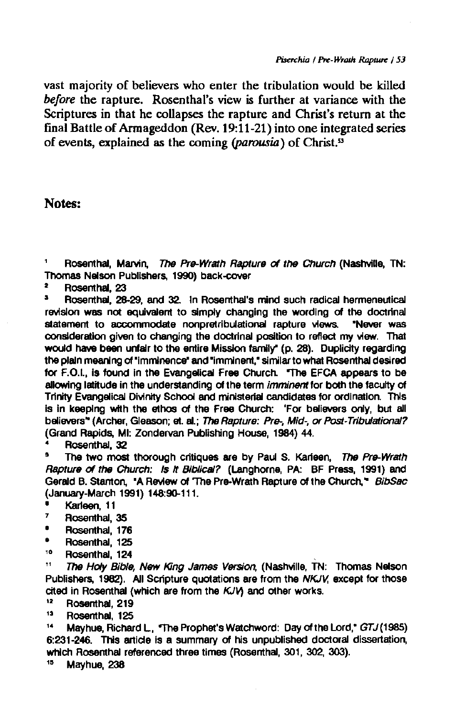vast majority of believers who enter the tribulation would be killed *before* the rapture. Rosenthal's view is further at variance with the Scriptures in that he collapses the rapture and Christ's return at the final Battle of Armageddon (Rev. 19:11-21) into one integrated series of events, explained as the coming *(parousia)* of Christ."

### Notes:

Rosenthal, Marvin, The Pre-Wrath Rapture of the Church (Nashville, TN: Thomas Nelson Publishers, 1990) back-cover

 $\frac{2}{3}$  Rosenthal, 23

• Rosenthal, 28-29, and 32. In Rosenthal's mind such radical hermeneutical revision was not equivalent to simply changing the wording of the doctrinal<br>statement to accommodate nonpretribulational rapture views. "Never was statement to accommodate nonpretribulational rapture views. consideration given to changing the doctrinal position to reflect my view. That would have been unfair to the entire Mission family" (p. 28). Duplicity regarding the plain meaning of "imminence" and "imminent," similar to what Rosenthal desired for F.O.I., Is found In the Evangelical Free Church. "The EFCA appears to be allowing latitude in the understanding of the term *imminent* for both the faculty of Trinity Evangelical Divinity School and ministerial candidates for ordination. This is in keeping with the ethos of the Free Church: 'For believers only, but all believers" (Archer, Gleason; et. al.; The Rapture: Pre-, Mid-, or Post-Tribulational? (Grand Rapids, Ml: Zondervan Publishing House, 1984) 44.

• Rosenthal, 32

The two most thorough critiques are by Paul S. Karieen, The Pre-Wrath Rapture of the Church: Is it Biblical? (Langhorne, PA: BF Press, 1991) and Gerald B. Stanton, • A Review of 'The Pre-Wrath Rapture of the Church, • *BibSac*  (January-March 1991) 148:90-111.

- **Karleen, 11**<br><sup>7</sup> Bosenthal
- <sup>7</sup> Rosenthal, 35
- ' Rosenthal, 176
- $\bullet$  Rosenthal, 125
- $\frac{16}{11}$  Rosenthal, 124<br> $\frac{11}{11}$  The Hote Bible

The Holy Bible, New King James Version, (Nashville, TN: Thomas Nelson Publishers, 1982). All Scripture quotations are from the *NKJV,* except for those cited in Rosenthal (which are from the *KJV*) and other works.

- Rosenthal, 219
- <sup>13</sup> Rosenthal, 125

<sup>14</sup> Mayhue, Richard L, "The Prophet's Watchword: Day of the Lord,"  $GTJ(1985)$ 6:231-246. This article is a summary of his unpublished doctoral dissariation, which Rosenthal referenced three times (Rosenthal, 301, 302, 303).

" Mayhue, 238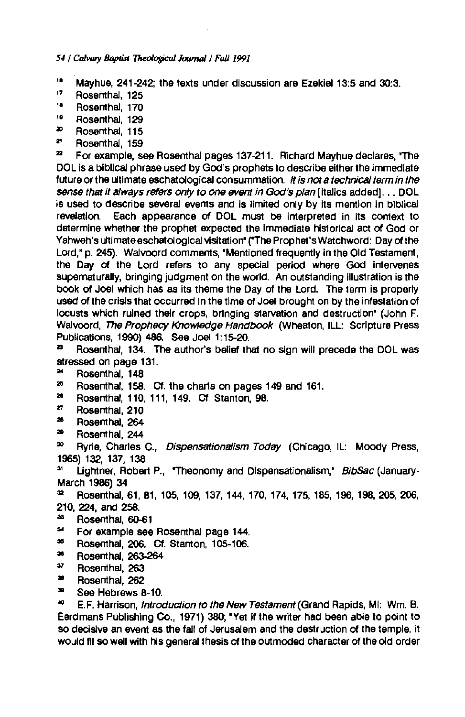*54 I Calvary Baptist JMologjcal Joumai I Fal/1991* 

- <sup>16</sup> Mayhue, 241-242; the texts under discussion are Ezekiel 13:5 and 30:3.
- " Rosenthal, 125
- " Rosenthal, 170
- " Rosenthal, 129
- <sup>20</sup> Rosenthal, 115
- <sup>2</sup> Rosenthal, 159

<sup>22</sup> For example, see Rosenthal pages 137-211. Richard Mayhue declares, 'The DOL Is a biblical phrase used by God's prophets to describe either the immediate future or the ultimate eschatological consummation. *n* is nota technical term in the sense that it always refers only to one event in God's plan [italics added], . . DOL is used to describe several events and is limited only by its mention in biblical revelation. Each appearance Of DOL must be interpreted in Its context to determine whether the prophet expected the Immediate historical act of God or Yahweh's ultimate eschatological visitation" ("The Prophet's Watchword: Day of the Lord," p. 245). Walvoord comments, "Mentioned frequently in the Old Testament, the Day of the Lord refers to any special period where God Intervenes supernaturally, bringing judgment on the world. An outstanding illustration is the book of Joel which has as its theme the Day of the Lord. The term is properly used of the crisis that occurred in the time of Joel brought on by the Infestation of locusts which ruined their crops, bringing starvation and destruction• (John F. Walvoord, The Prophecy Knowledge Handbook (Wheaton, ILL: Scripture Press Publications, 1990) 486. See Joel 1: 15-20.

<sup>23</sup> Rosenthal, 134. The author's belief that no sign will precede the DOL was stressed on page 131.

- <sup>24</sup> Rosenthal, 148
- <sup>25</sup> Rosenthal, 158. Cf. the charts on pages 149 and 161.
- **Rosenthal, 110, 111, 149. Ct. Stanton, 98.**
- " Rosenthal, 210
- <sup>28</sup> Rosenthal, 264
- <sup>29</sup> Rosenthal, 244

<sup>30</sup> Ryrie, Charles C., Dispensationalism Today (Chicago, IL: Moody Press, 1965) 132, 137, 138

Lightner, Robert P., "Theonomy and Dispensationalism," BibSac (January-March 1986) 34

"' Rosenthal, 61, 81, 105, 109, 137, 144, 170, 174, 175, 185, 196, 198, 205, 206, 210, 224, and 258.

- <sup>33</sup> Rosenthal, 60-61
- " For example see Rosenthal page 144.
- <sup>35</sup>**Rosenthal, 206. Cf. Stanton, 105-106.**
- '" Rosenthal, 263-264
- " Rosenthal, 263
- '" Rosenthal, 262
- <sup>30</sup> See Hebrews 8-10.

<sup>40</sup> E.F. Harrison, *Introduction to the New Testament* (Grand Rapids, Mi: Wm. B. Eerdmans Publishing Co., 1971) 380, "Yet If the writer had been able to point to so decisive an event as the fall of Jerusalem and the destruction of the temple, it would fit so well with his general thesis of the outmoded character of the old order